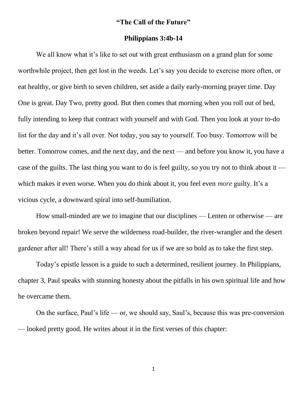## **"The Call of the Future"**

## **Philippians 3:4b-14**

We all know what it's like to set out with great enthusiasm on a grand plan for some worthwhile project, then get lost in the weeds. Let's say you decide to exercise more often, or eat healthy, or give birth to seven children, set aside a daily early-morning prayer time. Day One is great. Day Two, pretty good. But then comes that morning when you roll out of bed, fully intending to keep that contract with yourself and with God. Then you look at your to-do list for the day and it's all over. Not today, you say to yourself. Too busy. Tomorrow will be better. Tomorrow comes, and the next day, and the next — and before you know it, you have a case of the guilts. The last thing you want to do is feel guilty, so you try not to think about it which makes it even worse. When you do think about it, you feel even *more* guilty. It's a vicious cycle, a downward spiral into self-humiliation.

How small-minded are we to imagine that our disciplines — Lenten or otherwise — are broken beyond repair! We serve the wilderness road-builder, the river-wrangler and the desert gardener after all! There's still a way ahead for us if we are so bold as to take the first step.

Today's epistle lesson is a guide to such a determined, resilient journey. In Philippians, chapter 3, Paul speaks with stunning honesty about the pitfalls in his own spiritual life and how he overcame them.

On the surface, Paul's life — or, we should say, Saul's, because this was pre-conversion — looked pretty good. He writes about it in the first verses of this chapter: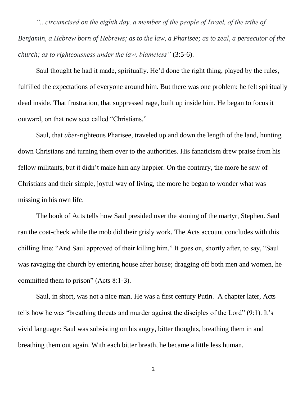*"...circumcised on the eighth day, a member of the people of Israel, of the tribe of Benjamin, a Hebrew born of Hebrews; as to the law, a Pharisee; as to zeal, a persecutor of the church; as to righteousness under the law, blameless"* (3:5-6).

Saul thought he had it made, spiritually. He'd done the right thing, played by the rules, fulfilled the expectations of everyone around him. But there was one problem: he felt spiritually dead inside. That frustration, that suppressed rage, built up inside him. He began to focus it outward, on that new sect called "Christians."

Saul, that *uber*-righteous Pharisee, traveled up and down the length of the land, hunting down Christians and turning them over to the authorities. His fanaticism drew praise from his fellow militants, but it didn't make him any happier. On the contrary, the more he saw of Christians and their simple, joyful way of living, the more he began to wonder what was missing in his own life.

The book of Acts tells how Saul presided over the stoning of the martyr, Stephen. Saul ran the coat-check while the mob did their grisly work. The Acts account concludes with this chilling line: "And Saul approved of their killing him." It goes on, shortly after, to say, "Saul was ravaging the church by entering house after house; dragging off both men and women, he committed them to prison" (Acts 8:1-3).

Saul, in short, was not a nice man. He was a first century Putin. A chapter later, Acts tells how he was "breathing threats and murder against the disciples of the Lord" (9:1). It's vivid language: Saul was subsisting on his angry, bitter thoughts, breathing them in and breathing them out again. With each bitter breath, he became a little less human.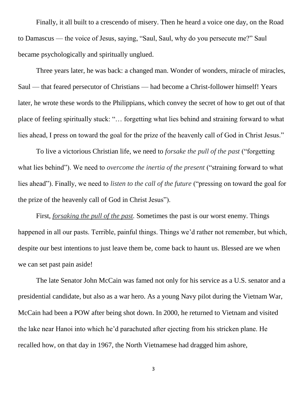Finally, it all built to a crescendo of misery. Then he heard a voice one day, on the Road to Damascus — the voice of Jesus, saying, "Saul, Saul, why do you persecute me?" Saul became psychologically and spiritually unglued.

Three years later, he was back: a changed man. Wonder of wonders, miracle of miracles, Saul — that feared persecutor of Christians — had become a Christ-follower himself! Years later, he wrote these words to the Philippians, which convey the secret of how to get out of that place of feeling spiritually stuck: "… forgetting what lies behind and straining forward to what lies ahead, I press on toward the goal for the prize of the heavenly call of God in Christ Jesus."

To live a victorious Christian life, we need to *forsake the pull of the past* ("forgetting what lies behind"). We need to *overcome the inertia of the present* ("straining forward to what lies ahead"). Finally, we need to *listen to the call of the future* ("pressing on toward the goal for the prize of the heavenly call of God in Christ Jesus").

First, *forsaking the pull of the past.* Sometimes the past is our worst enemy. Things happened in all our pasts. Terrible, painful things. Things we'd rather not remember, but which, despite our best intentions to just leave them be, come back to haunt us. Blessed are we when we can set past pain aside!

The late Senator John McCain was famed not only for his service as a U.S. senator and a presidential candidate, but also as a war hero. As a young Navy pilot during the Vietnam War, McCain had been a POW after being shot down. In 2000, he returned to Vietnam and visited the lake near Hanoi into which he'd parachuted after ejecting from his stricken plane. He recalled how, on that day in 1967, the North Vietnamese had dragged him ashore,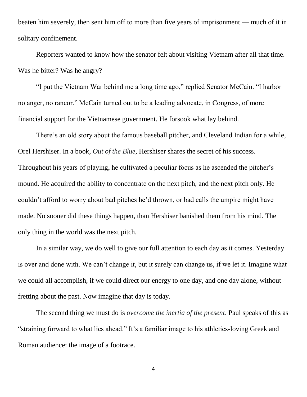beaten him severely, then sent him off to more than five years of imprisonment — much of it in solitary confinement.

Reporters wanted to know how the senator felt about visiting Vietnam after all that time. Was he bitter? Was he angry?

"I put the Vietnam War behind me a long time ago," replied Senator McCain. "I harbor no anger, no rancor." McCain turned out to be a leading advocate, in Congress, of more financial support for the Vietnamese government. He forsook what lay behind.

There's an old story about the famous baseball pitcher, and Cleveland Indian for a while, Orel Hershiser. In a book, *Out of the Blue*, Hershiser shares the secret of his success. Throughout his years of playing, he cultivated a peculiar focus as he ascended the pitcher's mound. He acquired the ability to concentrate on the next pitch, and the next pitch only. He couldn't afford to worry about bad pitches he'd thrown, or bad calls the umpire might have made. No sooner did these things happen, than Hershiser banished them from his mind. The only thing in the world was the next pitch.

In a similar way, we do well to give our full attention to each day as it comes. Yesterday is over and done with. We can't change it, but it surely can change us, if we let it. Imagine what we could all accomplish, if we could direct our energy to one day, and one day alone, without fretting about the past. Now imagine that day is today.

The second thing we must do is *overcome the inertia of the present*. Paul speaks of this as "straining forward to what lies ahead." It's a familiar image to his athletics-loving Greek and Roman audience: the image of a footrace.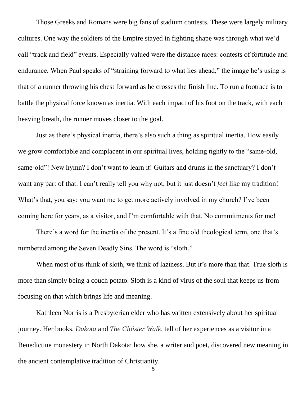Those Greeks and Romans were big fans of stadium contests. These were largely military cultures. One way the soldiers of the Empire stayed in fighting shape was through what we'd call "track and field" events. Especially valued were the distance races: contests of fortitude and endurance. When Paul speaks of "straining forward to what lies ahead," the image he's using is that of a runner throwing his chest forward as he crosses the finish line. To run a footrace is to battle the physical force known as inertia. With each impact of his foot on the track, with each heaving breath, the runner moves closer to the goal.

Just as there's physical inertia, there's also such a thing as spiritual inertia. How easily we grow comfortable and complacent in our spiritual lives, holding tightly to the "same-old, same-old"! New hymn? I don't want to learn it! Guitars and drums in the sanctuary? I don't want any part of that. I can't really tell you why not, but it just doesn't *feel* like my tradition! What's that, you say: you want me to get more actively involved in my church? I've been coming here for years, as a visitor, and I'm comfortable with that. No commitments for me!

There's a word for the inertia of the present. It's a fine old theological term, one that's numbered among the Seven Deadly Sins. The word is "sloth."

When most of us think of sloth, we think of laziness. But it's more than that. True sloth is more than simply being a couch potato. Sloth is a kind of virus of the soul that keeps us from focusing on that which brings life and meaning.

Kathleen Norris is a Presbyterian elder who has written extensively about her spiritual journey. Her books, *Dakota* and *The Cloister Walk,* tell of her experiences as a visitor in a Benedictine monastery in North Dakota: how she, a writer and poet, discovered new meaning in the ancient contemplative tradition of Christianity.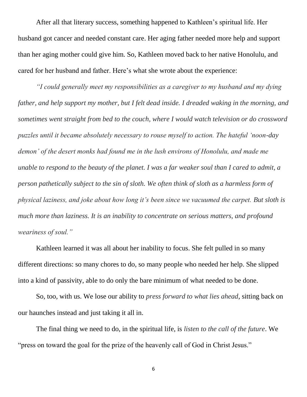After all that literary success, something happened to Kathleen's spiritual life. Her husband got cancer and needed constant care. Her aging father needed more help and support than her aging mother could give him. So, Kathleen moved back to her native Honolulu, and cared for her husband and father. Here's what she wrote about the experience:

*"I could generally meet my responsibilities as a caregiver to my husband and my dying father, and help support my mother, but I felt dead inside. I dreaded waking in the morning, and sometimes went straight from bed to the couch, where I would watch television or do crossword puzzles until it became absolutely necessary to rouse myself to action. The hateful 'noon-day demon' of the desert monks had found me in the lush environs of Honolulu, and made me unable to respond to the beauty of the planet. I was a far weaker soul than I cared to admit, a person pathetically subject to the sin of sloth. We often think of sloth as a harmless form of physical laziness, and joke about how long it's been since we vacuumed the carpet. But sloth is much more than laziness. It is an inability to concentrate on serious matters, and profound weariness of soul."*

Kathleen learned it was all about her inability to focus. She felt pulled in so many different directions: so many chores to do, so many people who needed her help. She slipped into a kind of passivity, able to do only the bare minimum of what needed to be done.

So, too, with us. We lose our ability to *press forward to what lies ahead*, sitting back on our haunches instead and just taking it all in.

The final thing we need to do, in the spiritual life, is *listen to the call of the future*. We "press on toward the goal for the prize of the heavenly call of God in Christ Jesus."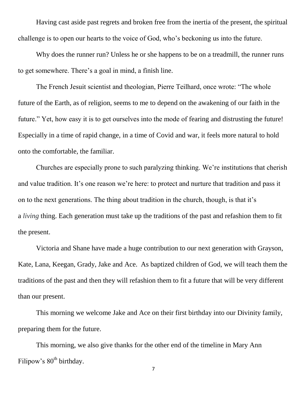Having cast aside past regrets and broken free from the inertia of the present, the spiritual challenge is to open our hearts to the voice of God, who's beckoning us into the future.

Why does the runner run? Unless he or she happens to be on a treadmill, the runner runs to get somewhere. There's a goal in mind, a finish line.

The French Jesuit scientist and theologian, Pierre Teilhard, once wrote: "The whole future of the Earth, as of religion, seems to me to depend on the awakening of our faith in the future." Yet, how easy it is to get ourselves into the mode of fearing and distrusting the future! Especially in a time of rapid change, in a time of Covid and war, it feels more natural to hold onto the comfortable, the familiar.

Churches are especially prone to such paralyzing thinking. We're institutions that cherish and value tradition. It's one reason we're here: to protect and nurture that tradition and pass it on to the next generations. The thing about tradition in the church, though, is that it's a *living* thing. Each generation must take up the traditions of the past and refashion them to fit the present.

Victoria and Shane have made a huge contribution to our next generation with Grayson, Kate, Lana, Keegan, Grady, Jake and Ace. As baptized children of God, we will teach them the traditions of the past and then they will refashion them to fit a future that will be very different than our present.

This morning we welcome Jake and Ace on their first birthday into our Divinity family, preparing them for the future.

This morning, we also give thanks for the other end of the timeline in Mary Ann Filipow's  $80<sup>th</sup>$  birthday.